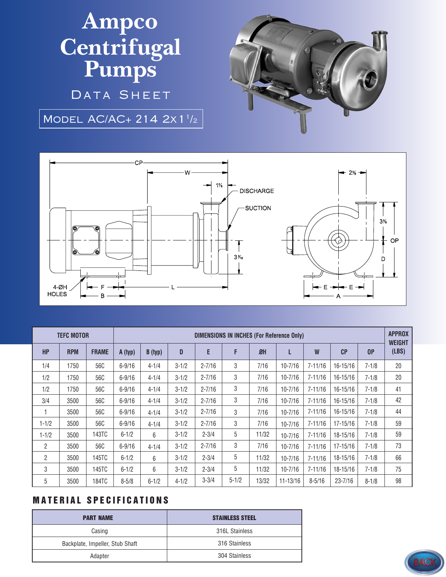## **Ampco Centrifugal Pumps**

DATA SHEET

MODEL AC/AC+ 214 2x 1<sup>1</sup>/2





| <b>TEFC MOTOR</b> |            |              | DIMENSIONS IN INCHES (For Reference Only) |           |           |            |           |       |              |             |             |                | <b>APPROX</b><br><b>WEIGHT</b> |
|-------------------|------------|--------------|-------------------------------------------|-----------|-----------|------------|-----------|-------|--------------|-------------|-------------|----------------|--------------------------------|
| <b>HP</b>         | <b>RPM</b> | <b>FRAME</b> | A (typ)                                   | B (typ)   | D         | E          | F         | ØH    | L            | W           | CP          | 0 <sup>P</sup> | (LBS)                          |
| 1/4               | 1750       | 56C          | $6 - 9/16$                                | $4 - 1/4$ | $3 - 1/2$ | $2 - 7/16$ | 3         | 7/16  | $10 - 7/16$  | $7 - 11/16$ | 16-15/16    | $7 - 1/8$      | 20                             |
| 1/2               | 1750       | 56C          | $6 - 9/16$                                | $4 - 1/4$ | $3 - 1/2$ | $2 - 7/16$ | 3         | 7/16  | $10 - 7/16$  | $7 - 11/16$ | 16-15/16    | $7 - 1/8$      | 20                             |
| 1/2               | 1750       | 56C          | $6 - 9/16$                                | $4 - 1/4$ | $3 - 1/2$ | $2 - 7/16$ | 3         | 7/16  | $10 - 7/16$  | $7 - 11/16$ | 16-15/16    | $7 - 1/8$      | 41                             |
| 3/4               | 3500       | 56C          | $6 - 9/16$                                | $4 - 1/4$ | $3 - 1/2$ | $2 - 7/16$ | 3         | 7/16  | $10 - 7/16$  | $7 - 11/16$ | 16-15/16    | $7 - 1/8$      | 42                             |
|                   | 3500       | 56C          | $6 - 9/16$                                | $4 - 1/4$ | $3 - 1/2$ | $2 - 7/16$ | 3         | 7/16  | $10 - 7/16$  | $7 - 11/16$ | 16-15/16    | $7 - 1/8$      | 44                             |
| $1 - 1/2$         | 3500       | 56C          | $6 - 9/16$                                | $4 - 1/4$ | $3 - 1/2$ | $2 - 7/16$ | 3         | 7/16  | $10 - 7/16$  | $7 - 11/16$ | 17-15/16    | $7 - 1/8$      | 59                             |
| $1 - 1/2$         | 3500       | 143TC        | $6 - 1/2$                                 | 6         | $3 - 1/2$ | $2 - 3/4$  | 5         | 11/32 | $10 - 7/16$  | $7 - 11/16$ | 18-15/16    | $7 - 1/8$      | 59                             |
| $\overline{2}$    | 3500       | 56C          | $6 - 9/16$                                | $4 - 1/4$ | $3 - 1/2$ | $2 - 7/16$ | 3         | 7/16  | $10 - 7/16$  | $7 - 11/16$ | 17-15/16    | $7 - 1/8$      | 73                             |
| $\mathbf{2}$      | 3500       | 145TC        | $6 - 1/2$                                 | 6         | $3 - 1/2$ | $2 - 3/4$  | 5         | 11/32 | $10 - 7/16$  | $7 - 11/16$ | 18-15/16    | $7 - 1/8$      | 66                             |
| 3                 | 3500       | 145TC        | $6 - 1/2$                                 | 6         | $3 - 1/2$ | $2 - 3/4$  | 5         | 11/32 | $10 - 7/16$  | $7 - 11/16$ | 18-15/16    | $7 - 1/8$      | 75                             |
| 5                 | 3500       | <b>184TC</b> | $8 - 5/8$                                 | $6 - 1/2$ | $4 - 1/2$ | $3 - 3/4$  | $5 - 1/2$ | 13/32 | $11 - 13/16$ | $8 - 5/16$  | $23 - 7/16$ | $8 - 1/8$      | 98                             |

## **MATERIAL SPECIFICATIONS**

| <b>PART NAME</b>                | <b>STAINLESS STEEL</b> |  |  |  |  |
|---------------------------------|------------------------|--|--|--|--|
| Casing                          | 316L Stainless         |  |  |  |  |
| Backplate, Impeller, Stub Shaft | 316 Stainless          |  |  |  |  |
| Adapter                         | 304 Stainless          |  |  |  |  |